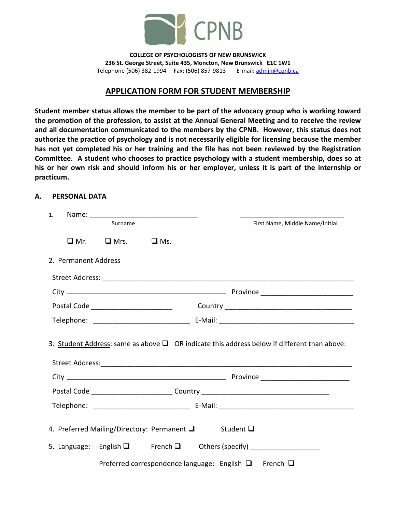

**COLLEGE OF PSYCHOLOGISTS OF NEW BRUNSWICK 236 St. George Street, Suite 435, Moncton, New Brunswick E1C 1W1** Telephone (506) 382-1994 Fax: (506) 857-9813 E-mail: [admin@cpnb.ca](mailto:admin@cpnb.ca)

## **APPLICATION FORM FOR STUDENT MEMBERSHIP**

**Student member status allows the member to be part of the advocacy group who is working toward the promotion of the profession, to assist at the Annual General Meeting and to receive the review and all documentation communicated to the members by the CPNB. However, this status does not authorize the practice of psychology and is not necessarily eligible for licensing because the member has not yet completed his or her training and the file has not been reviewed by the Registration Committee. A student who chooses to practice psychology with a student membership, does so at his or her own risk and should inform his or her employer, unless it is part of the internship or practicum.** 

#### **A. PERSONAL DATA**

| 1. |                      |                                                       |                                                                 |  |                                                                                                  |
|----|----------------------|-------------------------------------------------------|-----------------------------------------------------------------|--|--------------------------------------------------------------------------------------------------|
|    | Surname              |                                                       |                                                                 |  | First Name, Middle Name/Initial                                                                  |
|    |                      | $\Box$ Mr. $\Box$ Mrs. $\Box$ Ms.                     |                                                                 |  |                                                                                                  |
|    | 2. Permanent Address |                                                       |                                                                 |  |                                                                                                  |
|    |                      |                                                       |                                                                 |  |                                                                                                  |
|    |                      |                                                       |                                                                 |  |                                                                                                  |
|    |                      |                                                       |                                                                 |  |                                                                                                  |
|    |                      |                                                       |                                                                 |  |                                                                                                  |
|    |                      |                                                       |                                                                 |  | 3. Student Address: same as above $\Box$ OR indicate this address below if different than above: |
|    |                      |                                                       |                                                                 |  |                                                                                                  |
|    |                      |                                                       |                                                                 |  | Postal Code _______________________________Country _____________________________                 |
|    |                      |                                                       |                                                                 |  |                                                                                                  |
|    |                      | 4. Preferred Mailing/Directory: Permanent Q Student Q |                                                                 |  | 5. Language: English $\Box$ French $\Box$ Others (specify) _________________                     |
|    |                      |                                                       | Preferred correspondence language: English $\Box$ French $\Box$ |  |                                                                                                  |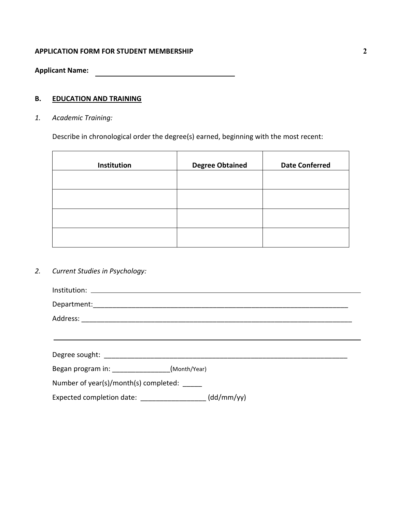### **APPLICATION FORM FOR STUDENT MEMBERSHIP**

**Applicant Name:**

# **B. EDUCATION AND TRAINING**

*1. Academic Training:*

Describe in chronological order the degree(s) earned, beginning with the most recent:

| Institution | <b>Degree Obtained</b> | <b>Date Conferred</b> |
|-------------|------------------------|-----------------------|
|             |                        |                       |
|             |                        |                       |
|             |                        |                       |
|             |                        |                       |

*2. Current Studies in Psychology:*

| Began program in: _________________(Month/Year) |            |
|-------------------------------------------------|------------|
| Number of year(s)/month(s) completed: _____     |            |
| Expected completion date: ___________________   | (dd/mm/yy) |